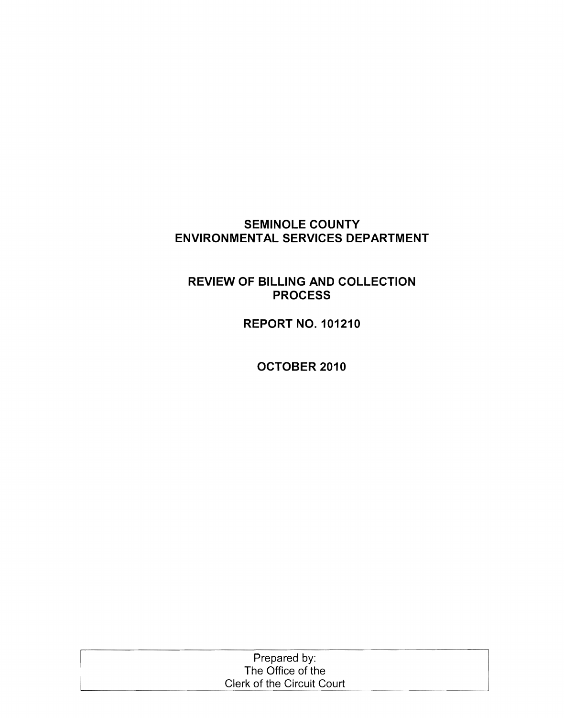## **SEMINOLE COUNTY ENVIRONMENTAL SERVICES DEPARTMENT**

## **REVIEW OF BILLING AND COLLECTION PROCESS**

**REPORT NO. 101210** 

**OCTOBER 2010** 

| Prepared by:               |  |
|----------------------------|--|
| The Office of the          |  |
| Clerk of the Circuit Court |  |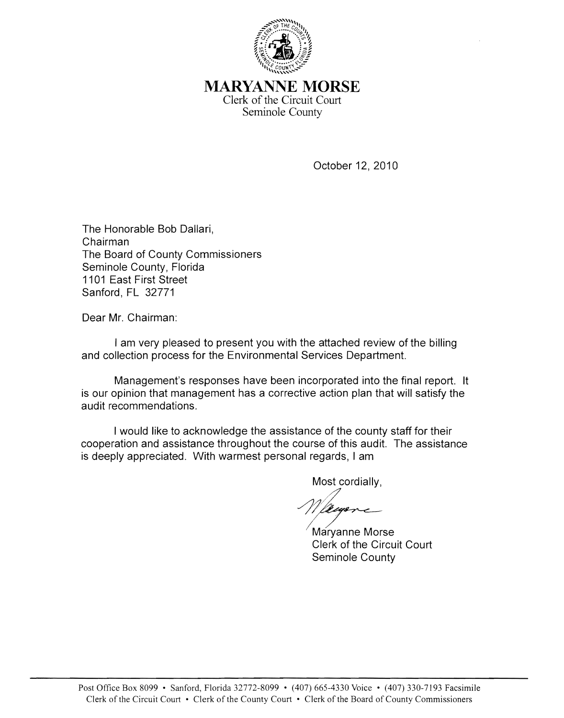

MARYANNE **MORSE** Clerk of the Circuit Court Seminole County

October 12, 2010

The Honorable Bob Dallari, Chairman The Board of County Commissioners Seminole County, Florida 1101 East First Street Sanford, FL 32771

Dear Mr. Chairman:

I am very pleased to present you with the attached review of the billing and collection process for the Environmental Services Department.

Management's responses have been incorporated into the final report. It is our opinion that management has a corrective action plan that will satisfy the audit recommendations.

I would like to acknowledge the assistance of the county staff for their cooperation and assistance throughout the course of this audit. The assistance is deeply appreciated. With warmest personal regards, I am

Most cordially,

Decempore-

Maryanne Morse<br>Clerk of the Circuit Court Seminole County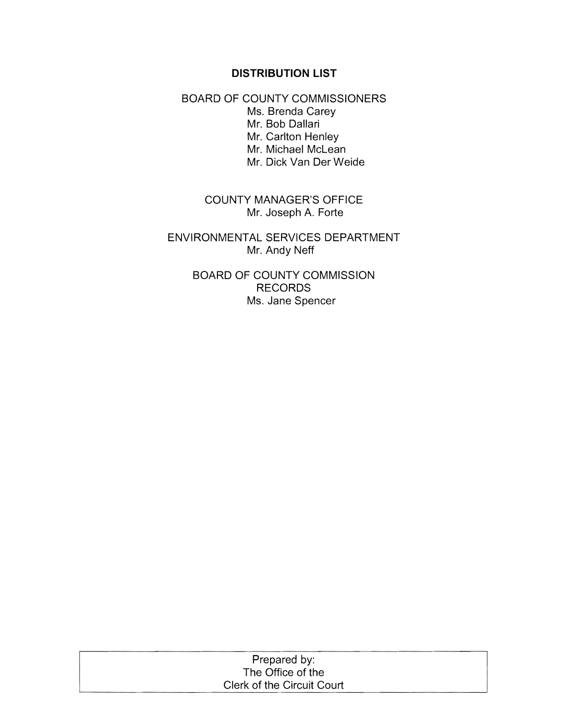#### **DISTRIBUTION LIST**

BOARD OF COUNTY COMMISSIONERS Ms. Brenda Carey Mr. Bob Dallari Mr. Carlton Henley Mr. Michael McLean Mr. Dick Van Der Weide

> COUNTY MANAGER'S OFFICE Mr. Joseph A. Forte

ENVIRONMENTAL SERVICES DEPARTMENT Mr. Andy Neff

> BOARD OF COUNTY COMMISSION RECORDS Ms. Jane Spencer

| Prepared by:               |  |
|----------------------------|--|
| The Office of the          |  |
| Clerk of the Circuit Court |  |
|                            |  |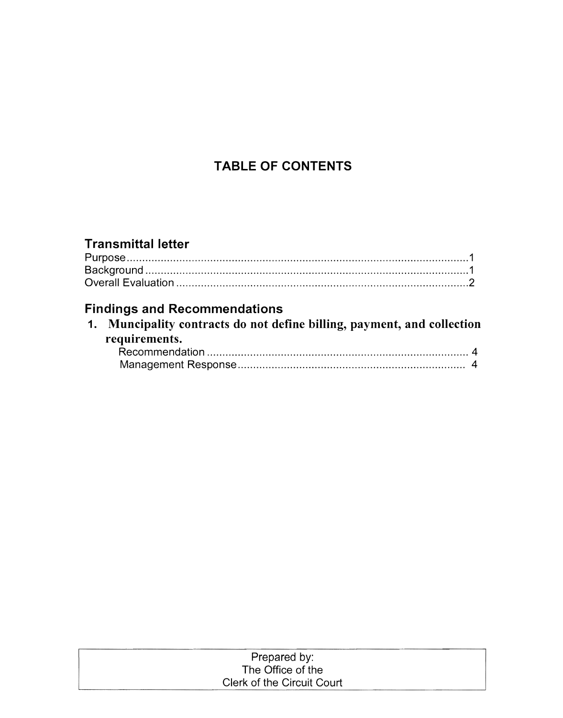# **TABLE OF CONTENTS**

# **Transmittal letter**

# **Findings and Recommendations**

| 1. Muncipality contracts do not define billing, payment, and collection |  |
|-------------------------------------------------------------------------|--|
| requirements.                                                           |  |
|                                                                         |  |
|                                                                         |  |

| Prepared by:               |  |
|----------------------------|--|
| The Office of the          |  |
| Clerk of the Circuit Court |  |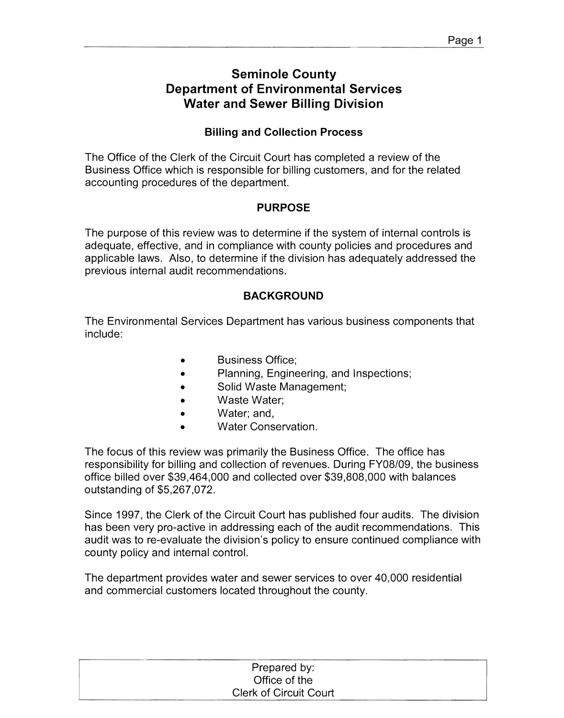## **Seminole County Department of Environmental Services Water and Sewer Billing Division**

### **Billing and Collection Process**

The Office of the Clerk of the Circuit Court has completed a review of the Business Office which is responsible for billing customers, and for the related accounting procedures of the department.

### **PURPOSE**

The purpose of this review was to determine if the system of internal controls is adequate, effective, and in compliance with county policies and procedures and applicable laws. Also, to determine if the division has adequately addressed the previous internal audit recommendations.

### **BACKGROUND**

The Environmental Services Department has various business components that include:

- Business Office;
- Planning, Engineering, and Inspections;
- Solid Waste Management;
- Waste Water;
- Water; and,
- Water Conservation.

The focus of this review was primarily the Business Office. The office has responsibility for billing and collection of revenues. During FY08/09, the business office billed over \$39,464,000 and collected over \$39,808,000 with balances outstanding of \$5,267,072.

Since 1997, the Clerk of the Circuit Court has published four audits. The division has been very pro-active in addressing each of the audit recommendations. This audit was to re-evaluate the division's policy to ensure continued compliance with county policy and internal control.

The department provides water and sewer services to over 40,000 residential and commercial customers located throughout the county.

| Prepared by:                  |  |
|-------------------------------|--|
| Office of the                 |  |
| <b>Clerk of Circuit Court</b> |  |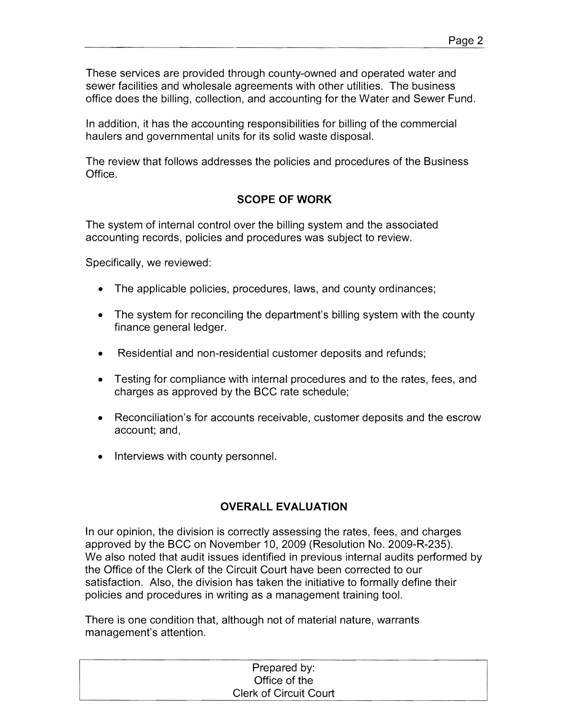These services are provided through county-owned and operated water and sewer facilities and wholesale agreements with other utilities. The business office does the billing, collection, and accounting for the Water and Sewer Fund.

In addition, it has the accounting responsibilities for billing of the commercial haulers and governmental units for its solid waste disposal.

The review that follows addresses the policies and procedures of the Business Office.

### **SCOPE OF WORK**

The system of internal control over the billing system and the associated accounting records, policies and procedures was subject to review.

Specifically, we reviewed:

- The applicable policies, procedures, laws, and county ordinances;
- The system for reconciling the department's billing system with the county finance general ledger.
- Residential and non-residential customer deposits and refunds;
- Testing for compliance with internal procedures and to the rates, fees, and charges as approved by the BCC rate schedule;
- Reconciliation's for accounts receivable, customer deposits and the escrow account; and,
- Interviews with county personnel.

### **OVERALL EVALUATION**

In our opinion, the division is correctly assessing the rates, fees, and charges approved by the BCC on November 10, 2009 (Resolution No. 2009-R-235). We also noted that audit issues identified in previous internal audits performed by the Office of the Clerk of the Circuit Court have been corrected to our satisfaction. Also, the division has taken the initiative to formally define their policies and procedures in writing as a management training tool.

There is one condition that, although not of material nature, warrants management's attention.

| Prepared by:                  |  |
|-------------------------------|--|
| Office of the                 |  |
| <b>Clerk of Circuit Court</b> |  |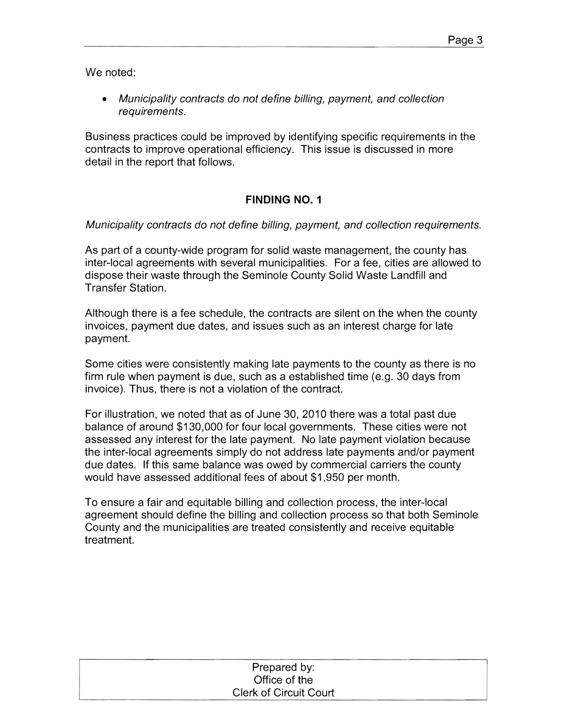We noted:

• Municipality contracts do not define billing, payment, and collection requirements.

Business practices could be improved by identifying specific requirements in the contracts to improve operational efficiency. This issue is discussed in more detail in the report that follows.

### **FINDING NO.1**

Municipality contracts do not define billing, payment, and collection requirements.

As part of a county-wide program for solid waste management, the county has inter-local agreements with several municipalities. For a fee, cities are allowed to dispose their waste through the Seminole County Solid Waste Landfill and Transfer Station.

Although there is a fee schedule, the contracts are silent on the when the county invoices, payment due dates, and issues such as an interest charge for late payment.

Some cities were consistently making late payments to the county as there is no firm rule when payment is due, such as a established time (e.g. 30 days from invoice). Thus, there is not a violation of the contract.

For illustration, we noted that as of June 30, 2010 there was a total past due balance of around \$130,000 for four local governments. These cities were not assessed any interest for the late payment. No late payment violation because the inter-local agreements simply do not address late payments and/or payment due dates. If this same balance was owed by commercial carriers the county would have assessed additional fees of about \$1,950 per month.

To ensure a fair and equitable billing and collection process, the inter-local agreement should define the billing and collection process so that both Seminole County and the municipalities are treated consistently and receive equitable treatment.

| Prepared by:                  |  |
|-------------------------------|--|
| Office of the                 |  |
| <b>Clerk of Circuit Court</b> |  |